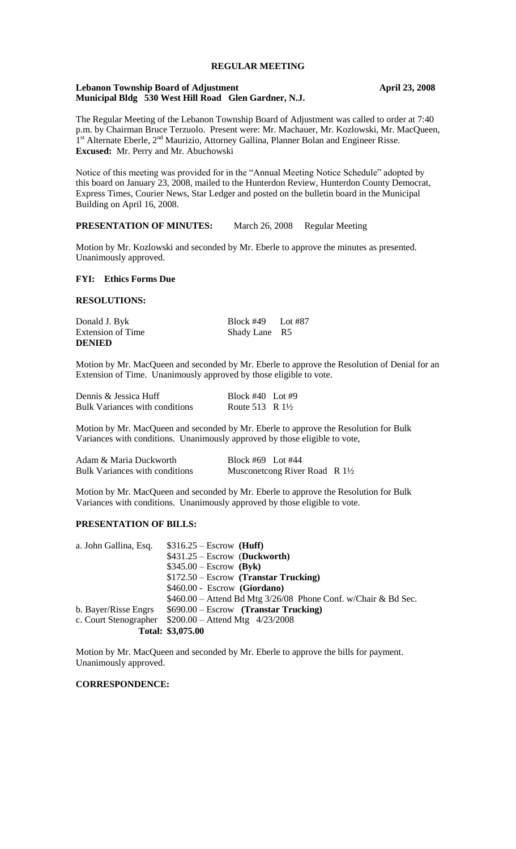# **REGULAR MEETING**

# **Lebanon Township Board of Adjustment April 23, 2008 Municipal Bldg 530 West Hill Road Glen Gardner, N.J.**

The Regular Meeting of the Lebanon Township Board of Adjustment was called to order at 7:40 p.m. by Chairman Bruce Terzuolo. Present were: Mr. Machauer, Mr. Kozlowski, Mr. MacQueen, 1<sup>st</sup> Alternate Eberle, 2<sup>nd</sup> Maurizio, Attorney Gallina, Planner Bolan and Engineer Risse. **Excused:** Mr. Perry and Mr. Abuchowski

Notice of this meeting was provided for in the "Annual Meeting Notice Schedule" adopted by this board on January 23, 2008, mailed to the Hunterdon Review, Hunterdon County Democrat, Express Times, Courier News, Star Ledger and posted on the bulletin board in the Municipal Building on April 16, 2008.

# **PRESENTATION OF MINUTES:** March 26, 2008 Regular Meeting

Motion by Mr. Kozlowski and seconded by Mr. Eberle to approve the minutes as presented. Unanimously approved.

### **FYI: Ethics Forms Due**

# **RESOLUTIONS:**

| Donald J. Byk            | Block #49 Lot #87 |  |
|--------------------------|-------------------|--|
| <b>Extension of Time</b> | Shady Lane R5     |  |
| <b>DENIED</b>            |                   |  |

Motion by Mr. MacQueen and seconded by Mr. Eberle to approve the Resolution of Denial for an Extension of Time. Unanimously approved by those eligible to vote.

| Dennis & Jessica Huff                 | Block #40 Lot #9           |  |
|---------------------------------------|----------------------------|--|
| <b>Bulk Variances with conditions</b> | Route 513 R $1\frac{1}{2}$ |  |

Motion by Mr. MacQueen and seconded by Mr. Eberle to approve the Resolution for Bulk Variances with conditions. Unanimously approved by those eligible to vote,

| Adam & Maria Duckworth                | Block #69 Lot #44                        |  |
|---------------------------------------|------------------------------------------|--|
| <b>Bulk Variances with conditions</b> | Musconetcong River Road R $1\frac{1}{2}$ |  |

Motion by Mr. MacQueen and seconded by Mr. Eberle to approve the Resolution for Bulk Variances with conditions. Unanimously approved by those eligible to vote.

### **PRESENTATION OF BILLS:**

| a. John Gallina, Esq. | $$316.25 - Escrow$ (Huff)                                       |
|-----------------------|-----------------------------------------------------------------|
|                       | $$431.25 - Escrow$ (Duckworth)                                  |
|                       | $$345.00 - Escrow$ (Byk)                                        |
|                       | $$172.50 - Escrow$ (Transtar Trucking)                          |
|                       | \$460.00 - Escrow (Giordano)                                    |
|                       | $$460.00 -$ Attend Bd Mtg 3/26/08 Phone Conf. w/Chair & Bd Sec. |
| b. Bayer/Risse Engrs  | $$690.00 - Escrow$ (Transtar Trucking)                          |
| c. Court Stenographer | $$200.00 -$ Attend Mtg $4/23/2008$                              |
|                       | Total: \$3,075.00                                               |

Motion by Mr. MacQueen and seconded by Mr. Eberle to approve the bills for payment. Unanimously approved.

# **CORRESPONDENCE:**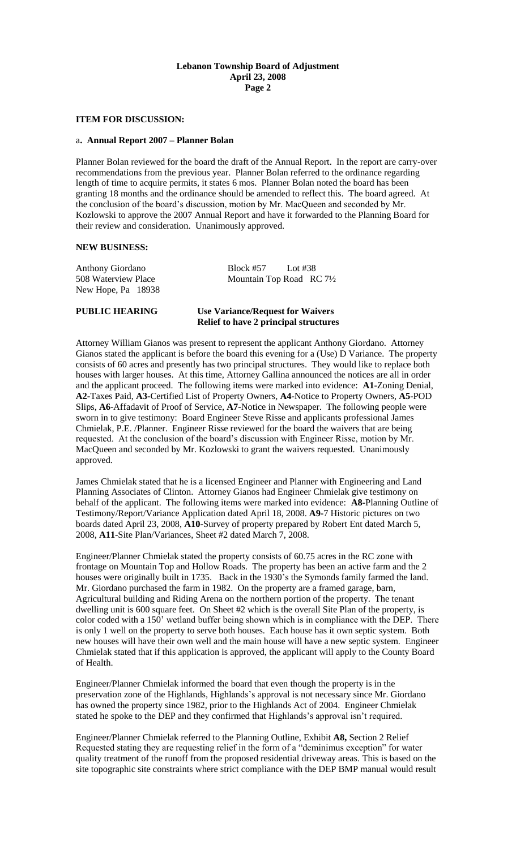# **Lebanon Township Board of Adjustment April 23, 2008 Page 2**

# **ITEM FOR DISCUSSION:**

#### a**. Annual Report 2007 – Planner Bolan**

Planner Bolan reviewed for the board the draft of the Annual Report. In the report are carry-over recommendations from the previous year. Planner Bolan referred to the ordinance regarding length of time to acquire permits, it states 6 mos. Planner Bolan noted the board has been granting 18 months and the ordinance should be amended to reflect this. The board agreed. At the conclusion of the board's discussion, motion by Mr. MacQueen and seconded by Mr. Kozlowski to approve the 2007 Annual Report and have it forwarded to the Planning Board for their review and consideration. Unanimously approved.

#### **NEW BUSINESS:**

New Hope, Pa 18938

Anthony Giordano Block #57 Lot #38 508 Waterview Place Mountain Top Road RC 71/2

## **PUBLIC HEARING Use Variance/Request for Waivers Relief to have 2 principal structures**

Attorney William Gianos was present to represent the applicant Anthony Giordano. Attorney Gianos stated the applicant is before the board this evening for a (Use) D Variance. The property consists of 60 acres and presently has two principal structures. They would like to replace both houses with larger houses. At this time, Attorney Gallina announced the notices are all in order and the applicant proceed. The following items were marked into evidence: **A1**-Zoning Denial, **A2-**Taxes Paid, **A3-**Certified List of Property Owners, **A4**-Notice to Property Owners, **A5**-POD Slips, **A6**-Affadavit of Proof of Service, **A7-**Notice in Newspaper. The following people were sworn in to give testimony: Board Engineer Steve Risse and applicants professional James Chmielak, P.E. /Planner. Engineer Risse reviewed for the board the waivers that are being requested. At the conclusion of the board's discussion with Engineer Risse, motion by Mr. MacQueen and seconded by Mr. Kozlowski to grant the waivers requested. Unanimously approved.

James Chmielak stated that he is a licensed Engineer and Planner with Engineering and Land Planning Associates of Clinton. Attorney Gianos had Engineer Chmielak give testimony on behalf of the applicant. The following items were marked into evidence: **A8-**Planning Outline of Testimony/Report/Variance Application dated April 18, 2008. **A9-**7 Historic pictures on two boards dated April 23, 2008, **A10-**Survey of property prepared by Robert Ent dated March 5, 2008, **A11**-Site Plan/Variances, Sheet #2 dated March 7, 2008.

Engineer/Planner Chmielak stated the property consists of 60.75 acres in the RC zone with frontage on Mountain Top and Hollow Roads. The property has been an active farm and the 2 houses were originally built in 1735. Back in the 1930's the Symonds family farmed the land. Mr. Giordano purchased the farm in 1982. On the property are a framed garage, barn, Agricultural building and Riding Arena on the northern portion of the property. The tenant dwelling unit is 600 square feet. On Sheet #2 which is the overall Site Plan of the property, is color coded with a 150' wetland buffer being shown which is in compliance with the DEP. There is only 1 well on the property to serve both houses. Each house has it own septic system. Both new houses will have their own well and the main house will have a new septic system. Engineer Chmielak stated that if this application is approved, the applicant will apply to the County Board of Health.

Engineer/Planner Chmielak informed the board that even though the property is in the preservation zone of the Highlands, Highlands's approval is not necessary since Mr. Giordano has owned the property since 1982, prior to the Highlands Act of 2004. Engineer Chmielak stated he spoke to the DEP and they confirmed that Highlands's approval isn't required.

Engineer/Planner Chmielak referred to the Planning Outline, Exhibit **A8,** Section 2 Relief Requested stating they are requesting relief in the form of a "deminimus exception" for water quality treatment of the runoff from the proposed residential driveway areas. This is based on the site topographic site constraints where strict compliance with the DEP BMP manual would result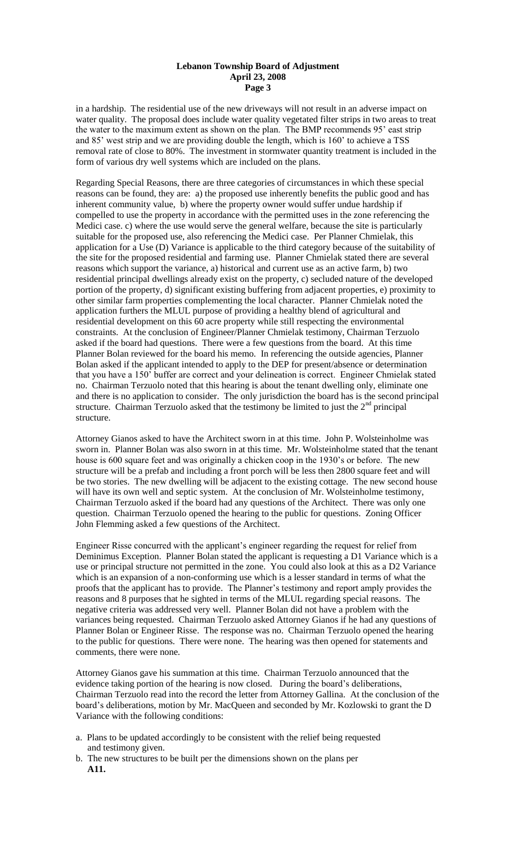## **Lebanon Township Board of Adjustment April 23, 2008 Page 3**

in a hardship. The residential use of the new driveways will not result in an adverse impact on water quality. The proposal does include water quality vegetated filter strips in two areas to treat the water to the maximum extent as shown on the plan. The BMP recommends 95' east strip and 85' west strip and we are providing double the length, which is 160' to achieve a TSS removal rate of close to 80%. The investment in stormwater quantity treatment is included in the form of various dry well systems which are included on the plans.

Regarding Special Reasons, there are three categories of circumstances in which these special reasons can be found, they are: a) the proposed use inherently benefits the public good and has inherent community value, b) where the property owner would suffer undue hardship if compelled to use the property in accordance with the permitted uses in the zone referencing the Medici case. c) where the use would serve the general welfare, because the site is particularly suitable for the proposed use, also referencing the Medici case. Per Planner Chmielak, this application for a Use (D) Variance is applicable to the third category because of the suitability of the site for the proposed residential and farming use. Planner Chmielak stated there are several reasons which support the variance, a) historical and current use as an active farm, b) two residential principal dwellings already exist on the property, c) secluded nature of the developed portion of the property, d) significant existing buffering from adjacent properties, e) proximity to other similar farm properties complementing the local character. Planner Chmielak noted the application furthers the MLUL purpose of providing a healthy blend of agricultural and residential development on this 60 acre property while still respecting the environmental constraints. At the conclusion of Engineer/Planner Chmielak testimony, Chairman Terzuolo asked if the board had questions. There were a few questions from the board. At this time Planner Bolan reviewed for the board his memo. In referencing the outside agencies, Planner Bolan asked if the applicant intended to apply to the DEP for present/absence or determination that you have a 150' buffer are correct and your delineation is correct. Engineer Chmielak stated no. Chairman Terzuolo noted that this hearing is about the tenant dwelling only, eliminate one and there is no application to consider. The only jurisdiction the board has is the second principal structure. Chairman Terzuolo asked that the testimony be limited to just the  $2<sup>nd</sup>$  principal structure.

Attorney Gianos asked to have the Architect sworn in at this time. John P. Wolsteinholme was sworn in. Planner Bolan was also sworn in at this time. Mr. Wolsteinholme stated that the tenant house is 600 square feet and was originally a chicken coop in the 1930's or before. The new structure will be a prefab and including a front porch will be less then 2800 square feet and will be two stories. The new dwelling will be adjacent to the existing cottage. The new second house will have its own well and septic system. At the conclusion of Mr. Wolsteinholme testimony, Chairman Terzuolo asked if the board had any questions of the Architect. There was only one question. Chairman Terzuolo opened the hearing to the public for questions. Zoning Officer John Flemming asked a few questions of the Architect.

Engineer Risse concurred with the applicant's engineer regarding the request for relief from Deminimus Exception. Planner Bolan stated the applicant is requesting a D1 Variance which is a use or principal structure not permitted in the zone. You could also look at this as a D2 Variance which is an expansion of a non-conforming use which is a lesser standard in terms of what the proofs that the applicant has to provide. The Planner's testimony and report amply provides the reasons and 8 purposes that he sighted in terms of the MLUL regarding special reasons. The negative criteria was addressed very well. Planner Bolan did not have a problem with the variances being requested. Chairman Terzuolo asked Attorney Gianos if he had any questions of Planner Bolan or Engineer Risse. The response was no. Chairman Terzuolo opened the hearing to the public for questions. There were none. The hearing was then opened for statements and comments, there were none.

Attorney Gianos gave his summation at this time. Chairman Terzuolo announced that the evidence taking portion of the hearing is now closed. During the board's deliberations, Chairman Terzuolo read into the record the letter from Attorney Gallina. At the conclusion of the board's deliberations, motion by Mr. MacQueen and seconded by Mr. Kozlowski to grant the D Variance with the following conditions:

- a. Plans to be updated accordingly to be consistent with the relief being requested and testimony given.
- b. The new structures to be built per the dimensions shown on the plans per **A11.**